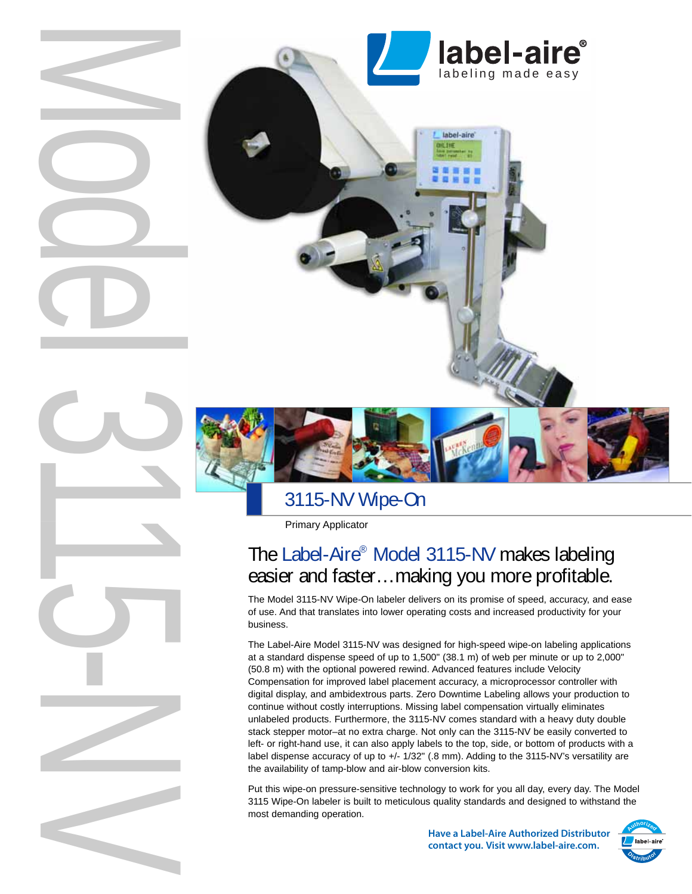

# 3115-NV Wipe-On

Primary Applicator

# The Label-Aire® Model 3115-NV makes labeling easier and faster…making you more profitable.

The Model 3115-NV Wipe-On labeler delivers on its promise of speed, accuracy, and ease of use. And that translates into lower operating costs and increased productivity for your business.

The Label-Aire Model 3115-NV was designed for high-speed wipe-on labeling applications at a standard dispense speed of up to 1,500" (38.1 m) of web per minute or up to 2,000" (50.8 m) with the optional powered rewind. Advanced features include Velocity Compensation for improved label placement accuracy, a microprocessor controller with digital display, and ambidextrous parts. Zero Downtime Labeling allows your production to continue without costly interruptions. Missing label compensation virtually eliminates unlabeled products. Furthermore, the 3115-NV comes standard with a heavy duty double stack stepper motor–at no extra charge. Not only can the 3115-NV be easily converted to left- or right-hand use, it can also apply labels to the top, side, or bottom of products with a label dispense accuracy of up to +/- 1/32" (.8 mm). Adding to the 3115-NV's versatility are the availability of tamp-blow and air-blow conversion kits.

Put this wipe-on pressure-sensitive technology to work for you all day, every day. The Model 3115 Wipe-On labeler is built to meticulous quality standards and designed to withstand the most demanding operation.

> **Have a Label-Aire Authorized Distributor contact you. Visit www.label-aire.com.**